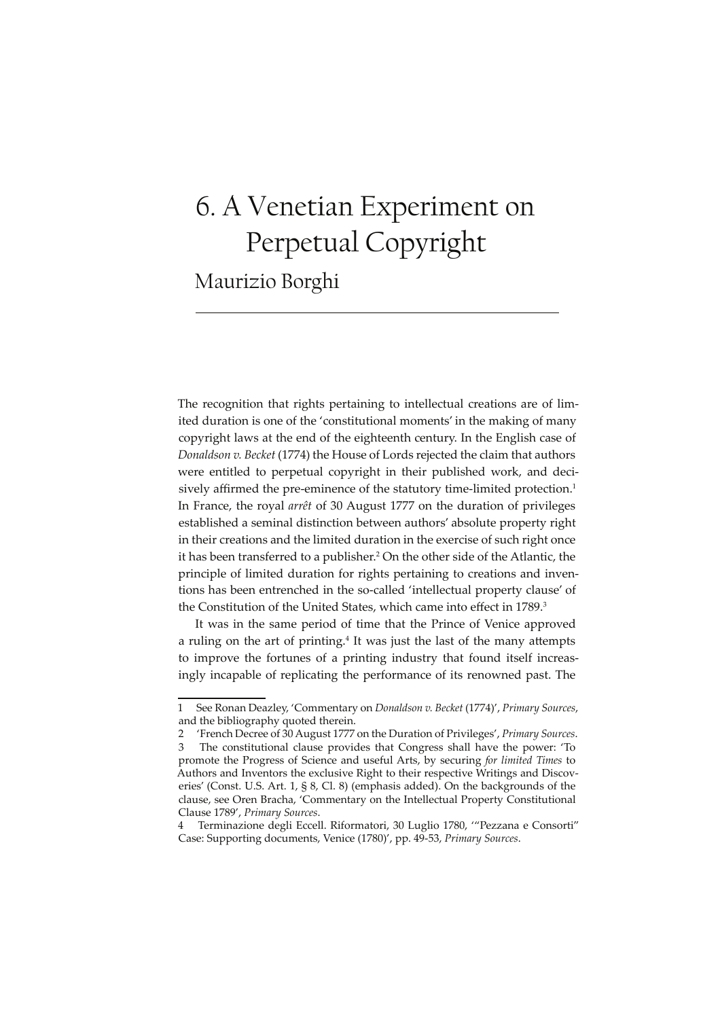# 6. A Venetian Experiment on Perpetual Copyright Maurizio Borghi

The recognition that rights pertaining to intellectual creations are of limited duration is one of the 'constitutional moments' in the making of many copyright laws at the end of the eighteenth century. In the English case of *Donaldson v. Becket* (1774) the House of Lords rejected the claim that authors were entitled to perpetual copyright in their published work, and deci sively affirmed the pre-eminence of the statutory time-limited protection.<sup>1</sup> In France, the royal *arrêt* of 30 August 1777 on the duration of privileges established a seminal distinction between authors' absolute property right in their creations and the limited duration in the exercise of such right once it has been transferred to a publisher.<sup>2</sup> On the other side of the Atlantic, the principle of limited duration for rights pertaining to creations and inventions has been entrenched in the so-called 'intellectual property clause' of the Constitution of the United States, which came into effect in 1789.<sup>3</sup>

It was in the same period of time that the Prince of Venice approved a ruling on the art of printing.<sup>4</sup> It was just the last of the many attempts to improve the fortunes of a printing industry that found itself increasingly incapable of replicating the performance of its renowned past. The

<sup>1</sup> See Ronan Deazley, 'Commentary on Donaldson v. Becket (1774)', Primary Sources, and the bibliography quoted therein.

<sup>2 &#</sup>x27;French Decree of 30 August 1777 on the Duration of Privileges', Primary Sources. The constitutional clause provides that Congress shall have the power: 'To promote the Progress of Science and useful Arts, by securing *for limited Times* to Authors and Inventors the exclusive Right to their respective Writings and Discoveries' (Const. U.S. Art. 1, § 8, Cl. 8) (emphasis added). On the backgrounds of the clause, see Oren Bracha, 'Commentary on the Intellectual Property Constitutional Clause 1789', Primary Sources.

Terminazione degli Eccell. Riformatori, 30 Luglio 1780, "'Pezzana e Consorti" Case: Supporting documents, Venice (1780)', pp. 49-53, Primary Sources.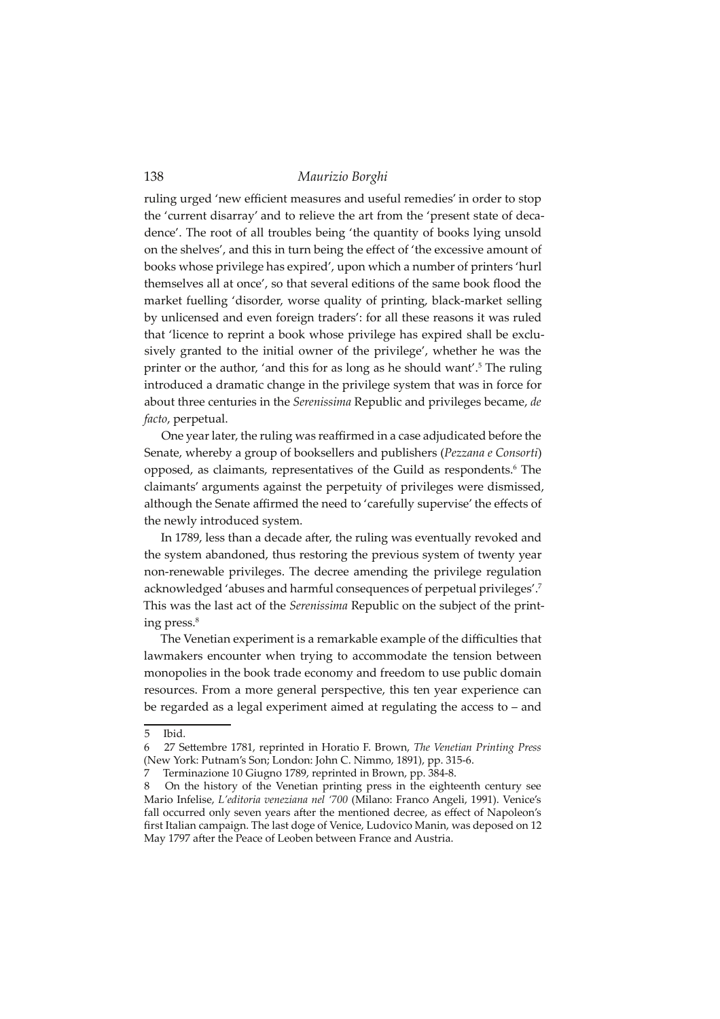ruling urged 'new efficient measures and useful remedies' in order to stop the 'current disarray' and to relieve the art from the 'present state of decadence'. The root of all troubles being 'the quantity of books lying unsold on the shelves', and this in turn being the effect of 'the excessive amount of books whose privilege has expired', upon which a number of printers 'hurl themselves all at once', so that several editions of the same book flood the market fuelling 'disorder, worse quality of printing, black-market selling by unlicensed and even foreign traders': for all these reasons it was ruled that 'licence to reprint a book whose privilege has expired shall be exclusively granted to the initial owner of the privilege', whether he was the printer or the author, 'and this for as long as he should want'.<sup>5</sup> The ruling introduced a dramatic change in the privilege system that was in force for about three centuries in the *Serenissima* Republic and privileges became, *de facto*, perpetual.

One year later, the ruling was reaffirmed in a case adjudicated before the Senate, whereby a group of booksellers and publishers (*Pezzana e Consorti*) opposed, as claimants, representatives of the Guild as respondents.<sup>6</sup> The claimants' arguments against the perpetuity of privileges were dismissed, although the Senate affirmed the need to 'carefully supervise' the effects of the newly introduced system.

In 1789, less than a decade after, the ruling was eventually revoked and the system abandoned, thus restoring the previous system of twenty year non-renewable privileges. The decree amending the privilege regulation acknowledged 'abuses and harmful consequences of perpetual privileges'.<sup>7</sup> This was the last act of the *Serenissima* Republic on the subject of the printing press.<sup>8</sup>

The Venetian experiment is a remarkable example of the difficulties that lawmakers encounter when trying to accommodate the tension between monopolies in the book trade economy and freedom to use public domain resources. From a more general perspective, this ten year experience can be regarded as a legal experiment aimed at regulating the access to – and

<sup>5</sup> Ibid

<sup>6 27</sup> Settembre 1781, reprinted in Horatio F. Brown, The Venetian Printing Press (New York: Putnam's Son; London: John C. Nimmo, 1891), pp. 315-6.

Terminazione 10 Giugno 1789, reprinted in Brown, pp. 384-8.

<sup>8</sup> On the history of the Venetian printing press in the eighteenth century see Mario Infelise, *L'editoria veneziana nel '700* (Milano: Franco Angeli, 1991). Venice's fall occurred only seven years after the mentioned decree, as effect of Napoleon's first Italian campaign. The last doge of Venice, Ludovico Manin, was deposed on 12 May 1797 after the Peace of Leoben between France and Austria.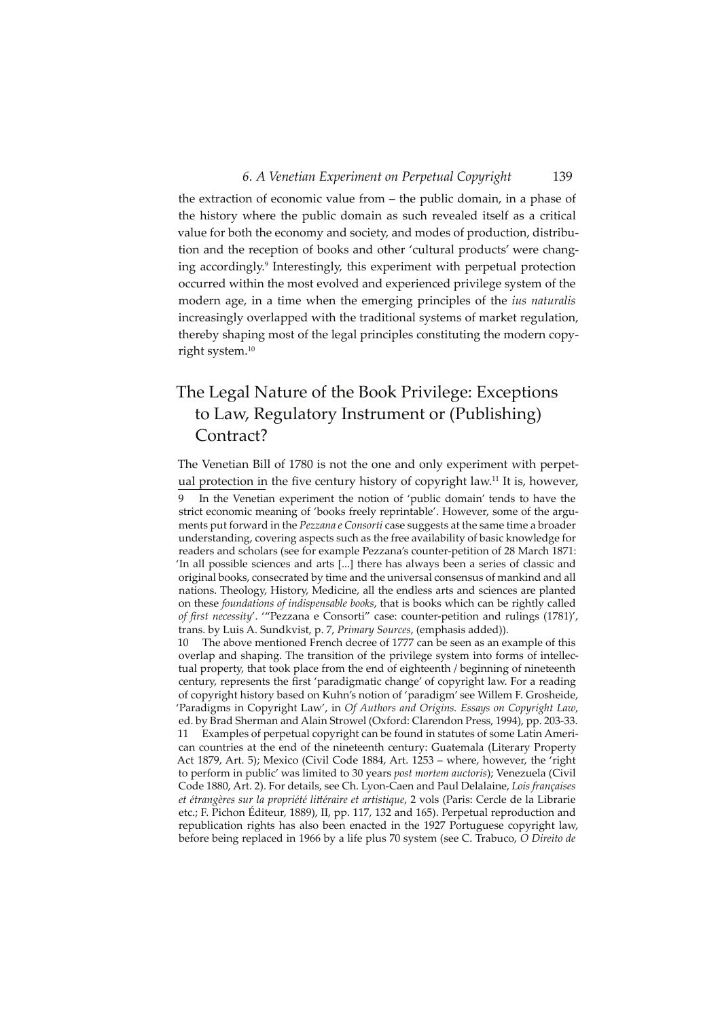the extraction of economic value from – the public domain, in a phase of the history where the public domain as such revealed itself as a critical value for both the economy and society, and modes of production, distribution and the reception of books and other 'cultural products' were changing accordingly.<sup>9</sup> Interestingly, this experiment with perpetual protection occurred within the most evolved and experienced privilege system of the modern age, in a time when the emerging principles of the *ius naturalis* increasingly overlapped with the traditional systems of market regulation, thereby shaping most of the legal principles constituting the modern copyright system.<sup>10</sup>

## The Legal Nature of the Book Privilege: Exceptions to Law, Regulatory Instrument or (Publishing) Contract?

The Venetian Bill of 1780 is not the one and only experiment with perpetual protection in the five century history of copyright law.<sup>11</sup> It is, however,

10 The above mentioned French decree of 1777 can be seen as an example of this overlap and shaping. The transition of the privilege system into forms of intellec tual property, that took place from the end of eighteenth / beginning of nineteenth century, represents the first 'paradigmatic change' of copyright law. For a reading of copyright history based on Kuhn's notion of 'paradigm' see Willem F. Grosheide, 'Paradigms in Copyright Law', in *Of Authors and Origins. Essays on Copyright Law*, ed. by Brad Sherman and Alain Strowel (Oxford: Clarendon Press, 1994), pp. 203-33. 11 Examples of perpetual copyright can be found in statutes of some Latin American countries at the end of the nineteenth century: Guatemala (Literary Property Act 1879, Art. 5); Mexico (Civil Code 1884, Art. 1253 – where, however, the 'right to perform in public' was limited to 30 years *post mortem auctoris*); Venezuela (Civil Code 1880, Art. 2). For details, see Ch. Lyon-Caen and Paul Delalaine, *Lois françaises*  et étrangères sur la propriété littéraire et artistique, 2 vols (Paris: Cercle de la Librarie etc.; F. Pichon Éditeur, 1889), II, pp. 117, 132 and 165). Perpetual reproduction and republication rights has also been enacted in the 1927 Portuguese copyright law, before being replaced in 1966 by a life plus 70 system (see C. Trabuco, O Direito de

In the Venetian experiment the notion of 'public domain' tends to have the strict economic meaning of 'books freely reprintable'. However, some of the arguments put forward in the *Pezzana e Consorti* case suggests at the same time a broader understanding, covering aspects such as the free availability of basic knowledge for readers and scholars (see for example Pezzana's counter-petition of 28 March 1871: 'In all possible sciences and arts [...] there has always been a series of classic and original books, consecrated by time and the universal consensus of mankind and all nations. Theology, History, Medicine, all the endless arts and sciences are planted on these *foundations of indispensable books*, that is books which can be rightly called *of first necessity'*. "Pezzana e Consorti" case: counter-petition and rulings (1781)', trans. by Luis A. Sundkvist, p. 7, Primary Sources, (emphasis added)).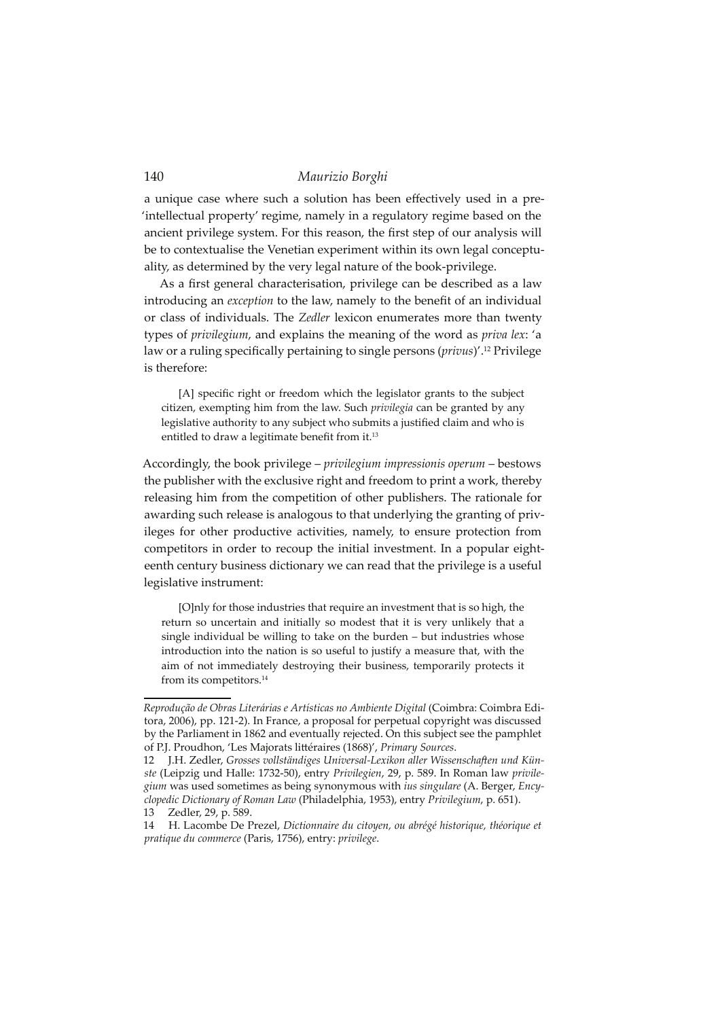a unique case where such a solution has been effectively used in a pre-'intellectual property' regime, namely in a regulatory regime based on the ancient privilege system. For this reason, the first step of our analysis will be to contextualise the Venetian experiment within its own legal conceptuality, as determined by the very legal nature of the book-privilege.

As a first general characterisation, privilege can be described as a law introducing an *exception* to the law, namely to the benefit of an individual or class of individuals. The *Zedler* lexicon enumerates more than twenty types of *privilegium*, and explains the meaning of the word as *priva lex*: 'a law or a ruling specifically pertaining to single persons (*privus*)'.<sup>12</sup> Privilege is therefore:

[A] specific right or freedom which the legislator grants to the subject citizen, exempting him from the law. Such *privilegia* can be granted by any legislative authority to any subject who submits a justified claim and who is entitled to draw a legitimate benefit from it.<sup>13</sup>

Accordingly, the book privilege – *privilegium impressionis operum* – bestows the publisher with the exclusive right and freedom to print a work, thereby releasing him from the competition of other publishers. The rationale for awarding such release is analogous to that underlying the granting of privileges for other productive activities, namely, to ensure protection from competitors in order to recoup the initial investment. In a popular eighteenth century business dictionary we can read that the privilege is a useful legislative instrument:

[O]nly for those industries that require an investment that is so high, the return so uncertain and initially so modest that it is very unlikely that a single individual be willing to take on the burden – but industries whose introduction into the nation is so useful to justify a measure that, with the aim of not immediately destroying their business, temporarily protects it from its competitors.<sup>14</sup>

13 Zedler, 29, p. 589.

*Reprodução de Obras Literárias e Artísticas no Ambiente Digital* (Coimbra: Coimbra Editora, 2006), pp. 121-2). In France, a proposal for perpetual copyright was discussed by the Parliament in 1862 and eventually rejected. On this subject see the pamphlet of P.J. Proudhon, 'Les Majorats littéraires (1868)', Primary Sources.

<sup>12</sup> J.H. Zedler, Grosses vollständiges Universal-Lexikon aller Wissenschaften und Künste (Leipzig und Halle: 1732-50), entry Privilegien, 29, p. 589. In Roman law privile*gium* was used sometimes as being synonymous with *ius singulare* (A. Berger, *Encyclopedic Dictionary of Roman Law* (Philadelphia, 1953), entry Privilegium, p. 651).

<sup>14</sup> H. Lacombe De Prezel, Dictionnaire du citoyen, ou abrégé historique, théorique et pratique du commerce (Paris, 1756), entry: privilege.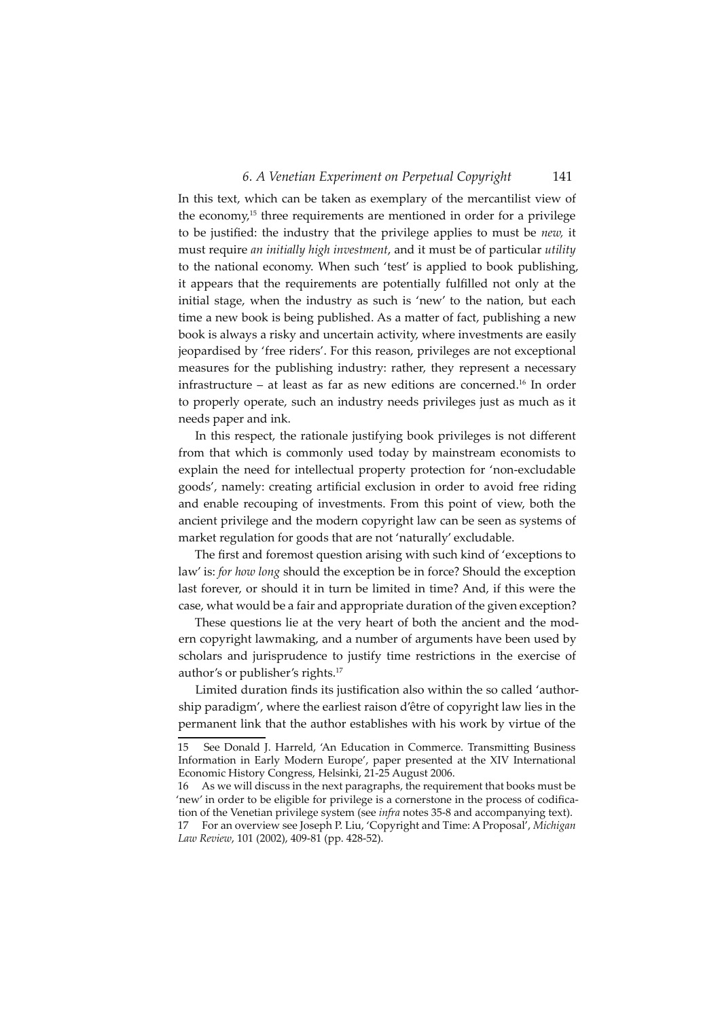In this text, which can be taken as exemplary of the mercantilist view of the economy, $15$  three requirements are mentioned in order for a privilege to be justified: the industry that the privilege applies to must be *new*, it must require *an initially high investment*, and it must be of particular *utility* to the national economy. When such 'test' is applied to book publishing, it appears that the requirements are potentially fulfilled not only at the initial stage, when the industry as such is 'new' to the nation, but each time a new book is being published. As a matter of fact, publishing a new book is always a risky and uncertain activity, where investments are easily jeopardised by 'free riders'. For this reason, privileges are not exceptional measures for the publishing industry: rather, they represent a necessary infrastructure – at least as far as new editions are concerned.<sup>16</sup> In order to properly operate, such an industry needs privileges just as much as it needs paper and ink.

In this respect, the rationale justifying book privileges is not different from that which is commonly used today by mainstream economists to explain the need for intellectual property protection for 'non-excludable goods', namely: creating artificial exclusion in order to avoid free riding and enable recouping of investments. From this point of view, both the ancient privilege and the modern copyright law can be seen as systems of market regulation for goods that are not 'naturally' excludable.

The first and foremost question arising with such kind of 'exceptions to law' is: *for how long* should the exception be in force? Should the exception last forever, or should it in turn be limited in time? And, if this were the case, what would be a fair and appropriate duration of the given exception?

These questions lie at the very heart of both the ancient and the modern copyright lawmaking, and a number of arguments have been used by scholars and jurisprudence to justify time restrictions in the exercise of author's or publisher's rights.<sup>17</sup>

Limited duration finds its justification also within the so called 'authorship paradigm', where the earliest raison d'être of copyright law lies in the permanent link that the author establishes with his work by virtue of the

<sup>15</sup> See Donald J. Harreld, 'An Education in Commerce. Transmitting Business Information in Early Modern Europe', paper presented at the XIV International Economic History Congress, Helsinki, 21-25 August 2006.

<sup>16</sup> As we will discuss in the next paragraphs, the requirement that books must be 'new' in order to be eligible for privilege is a cornerstone in the process of codification of the Venetian privilege system (see *infra* notes 35-8 and accompanying text).

<sup>17</sup> For an overview see Joseph P. Liu, 'Copyright and Time: A Proposal', Michigan Law Review, 101 (2002), 409-81 (pp. 428-52).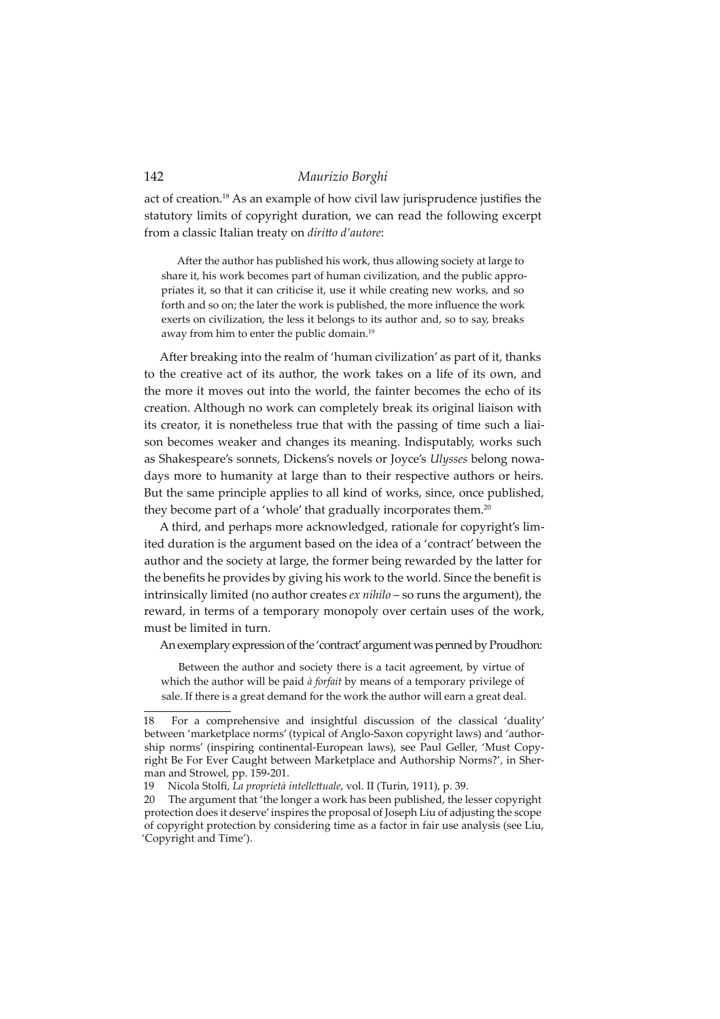act of creation.<sup>18</sup> As an example of how civil law jurisprudence justifies the statutory limits of copyright duration, we can read the following excerpt from a classic Italian treaty on *diritto d'autore*:

After the author has published his work, thus allowing society at large to share it, his work becomes part of human civilization, and the public appropriates it, so that it can criticise it, use it while creating new works, and so forth and so on; the later the work is published, the more influence the work exerts on civilization, the less it belongs to its author and, so to say, breaks away from him to enter the public domain.<sup>19</sup>

After breaking into the realm of 'human civilization' as part of it, thanks to the creative act of its author, the work takes on a life of its own, and the more it moves out into the world, the fainter becomes the echo of its creation. Although no work can completely break its original liaison with its creator, it is nonetheless true that with the passing of time such a liaison becomes weaker and changes its meaning. Indisputably, works such as Shakespeare's sonnets, Dickens's novels or Joyce's *Ulysses* belong nowadays more to humanity at large than to their respective authors or heirs. But the same principle applies to all kind of works, since, once published, they become part of a 'whole' that gradually incorporates them.<sup>20</sup>

A third, and perhaps more acknowledged, rationale for copyright's limited duration is the argument based on the idea of a 'contract' between the author and the society at large, the former being rewarded by the latter for the benefits he provides by giving his work to the world. Since the benefit is intrinsically limited (no author creates *ex nihilo* – so runs the argument), the reward, in terms of a temporary monopoly over certain uses of the work, must be limited in turn.

An exemplary expression of the 'contract' argument was penned by Proudhon:

Between the author and society there is a tacit agreement, by virtue of which the author will be paid *à forfait* by means of a temporary privilege of sale. If there is a great demand for the work the author will earn a great deal.

<sup>18</sup> For a comprehensive and insightful discussion of the classical 'duality' between 'marketplace norms' (typical of Anglo-Saxon copyright laws) and 'authorship norms' (inspiring continental-European laws), see Paul Geller, 'Must Copy right Be For Ever Caught between Marketplace and Authorship Norms?', in Sherman and Strowel, pp. 159-201.

<sup>19</sup> Nicola Stolfi, La proprietà intellettuale, vol. II (Turin, 1911), p. 39.

<sup>20</sup> The argument that 'the longer a work has been published, the lesser copyright protection does it deserve' inspires the proposal of Joseph Liu of adjusting the scope of copyright protection by considering time as a factor in fair use analysis (see Liu, 'Copyright and Time').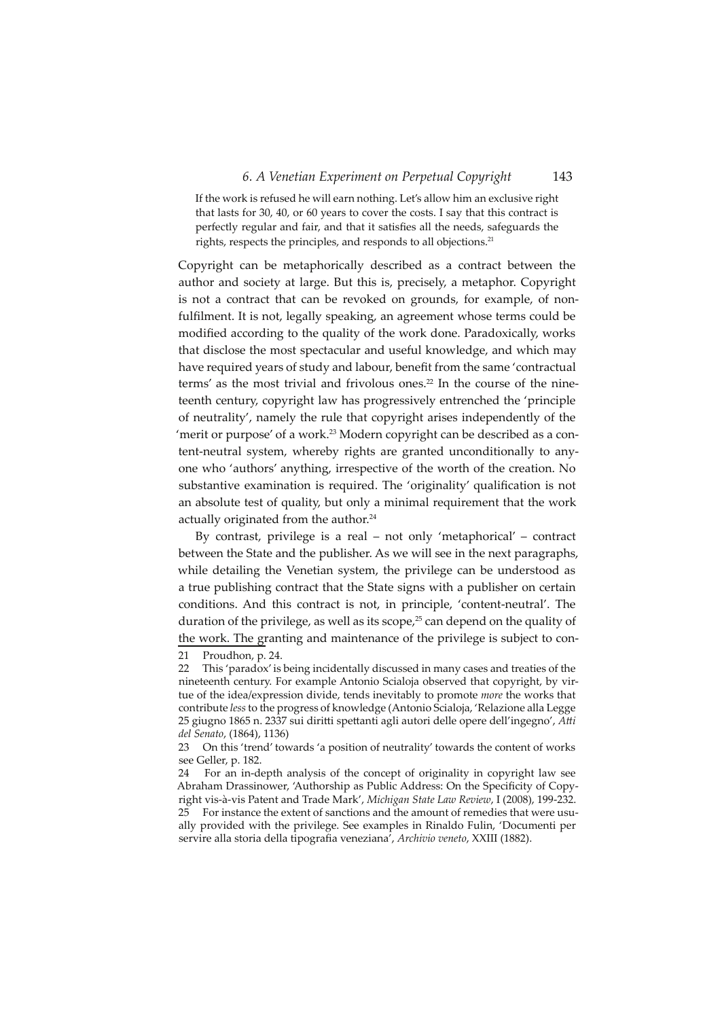If the work is refused he will earn nothing. Let's allow him an exclusive right that lasts for 30, 40, or 60 years to cover the costs. I say that this contract is perfectly regular and fair, and that it satisfies all the needs, safeguards the rights, respects the principles, and responds to all objections.<sup>21</sup>

Copyright can be metaphorically described as a contract between the author and society at large. But this is, precisely, a metaphor. Copyright is not a contract that can be revoked on grounds, for example, of non fulfilment. It is not, legally speaking, an agreement whose terms could be modified according to the quality of the work done. Paradoxically, works that disclose the most spectacular and useful knowledge, and which may have required vears of study and labour, benefit from the same 'contractual terms' as the most trivial and frivolous ones.<sup>22</sup> In the course of the nineteenth century, copyright law has progressively entrenched the 'principle of neutrality', namely the rule that copyright arises independently of the 'merit or purpose' of a work.<sup>23</sup> Modern copyright can be described as a content-neutral system, whereby rights are granted unconditionally to any one who 'authors' anything, irrespective of the worth of the creation. No substantive examination is required. The 'originality' qualification is not an absolute test of quality, but only a minimal requirement that the work actually originated from the author.<sup>24</sup>

By contrast, privilege is a real – not only 'metaphorical' – contract between the State and the publisher. As we will see in the next paragraphs, while detailing the Venetian system, the privilege can be understood as a true publishing contract that the State signs with a publisher on certain conditions. And this contract is not, in principle, 'content-neutral'. The duration of the privilege, as well as its scope, $25$  can depend on the quality of the work. The granting and maintenance of the privilege is subject to con-

<sup>21</sup> Proudhon, p. 24.

<sup>22</sup> This 'paradox' is being incidentally discussed in many cases and treaties of the nineteenth century. For example Antonio Scialoja observed that copyright, by vir tue of the idea/expression divide, tends inevitably to promote *more* the works that contribute *less* to the progress of knowledge (Antonio Scialoja, 'Relazione alla Legge 25 giugno 1865 n. 2337 sui diritti spettanti agli autori delle opere dell'ingegno', Atti *del Senato*, (1864), 1136)

<sup>23</sup> On this 'trend' towards 'a position of neutrality' towards the content of works see Geller, p. 182.

<sup>24</sup> For an in-depth analysis of the concept of originality in copyright law see Abraham Drassinower, 'Authorship as Public Address: On the Specificity of Copyright vis-à-vis Patent and Trade Mark', *Michigan State Law Review*, I (2008), 199-232. 25 For instance the extent of sanctions and the amount of remedies that were usually provided with the privilege. See examples in Rinaldo Fulin, 'Documenti per servire alla storia della tipografia veneziana<sup>7</sup>, Archivio veneto, XXIII (1882).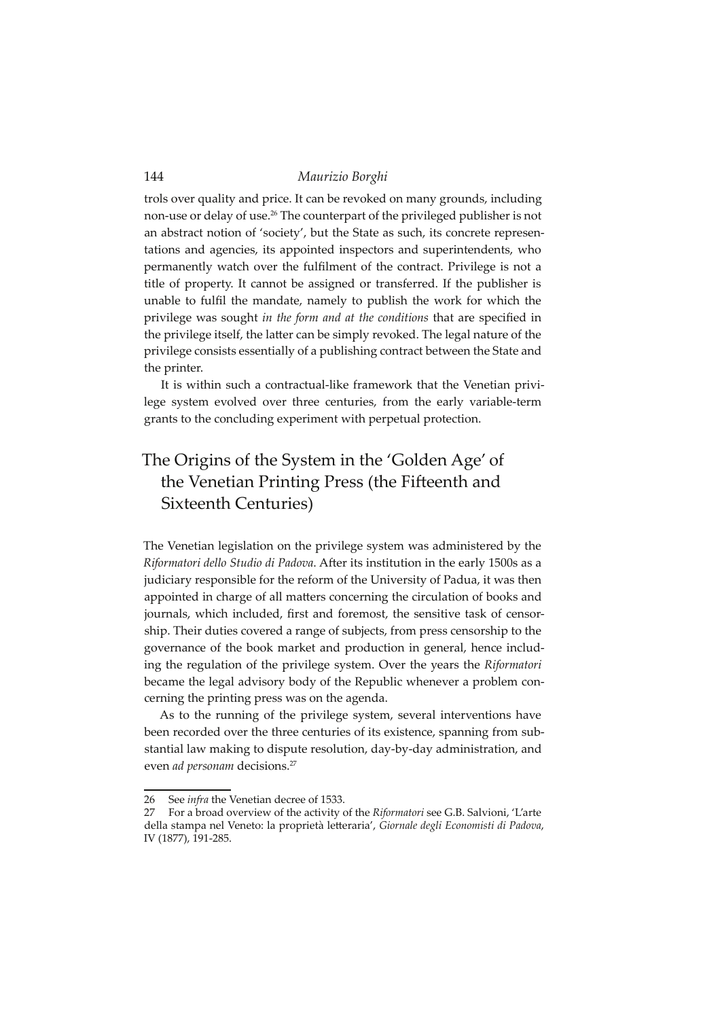trols over quality and price. It can be revoked on many grounds, including non-use or delay of use.<sup>26</sup> The counterpart of the privileged publisher is not an abstract notion of 'society', but the State as such, its concrete representations and agencies, its appointed inspectors and superintendents, who permanently watch over the fulfilment of the contract. Privilege is not a title of property. It cannot be assigned or transferred. If the publisher is unable to fulfil the mandate, namely to publish the work for which the privilege was sought *in the form and at the conditions* that are specified in the privilege itself, the latter can be simply revoked. The legal nature of the privilege consists essentially of a publishing contract between the State and the printer.

It is within such a contractual-like framework that the Venetian privilege system evolved over three centuries, from the early variable-term grants to the concluding experiment with perpetual protection.

## The Origins of the System in the 'Golden Age' of the Venetian Printing Press (the Fifteenth and Sixteenth Centuries)

The Venetian legislation on the privilege system was administered by the  $R$ *iformatori dello Studio di Padova*. After its institution in the early 1500s as a judiciary responsible for the reform of the University of Padua, it was then appointed in charge of all matters concerning the circulation of books and journals, which included, first and foremost, the sensitive task of censorship. Their duties covered a range of subjects, from press censorship to the governance of the book market and production in general, hence including the regulation of the privilege system. Over the years the *Riformatori* became the legal advisory body of the Republic whenever a problem concerning the printing press was on the agenda.

As to the running of the privilege system, several interventions have been recorded over the three centuries of its existence, spanning from substantial law making to dispute resolution, day-by-day administration, and even *ad personam* decisions.<sup>27</sup>

<sup>26</sup> See *infra* the Venetian decree of 1533.

<sup>27</sup> For a broad overview of the activity of the Riformatori see G.B. Salvioni, 'L'arte della stampa nel Veneto: la proprietà letteraria', Giornale degli Economisti di Padova, IV (1877), 191-285.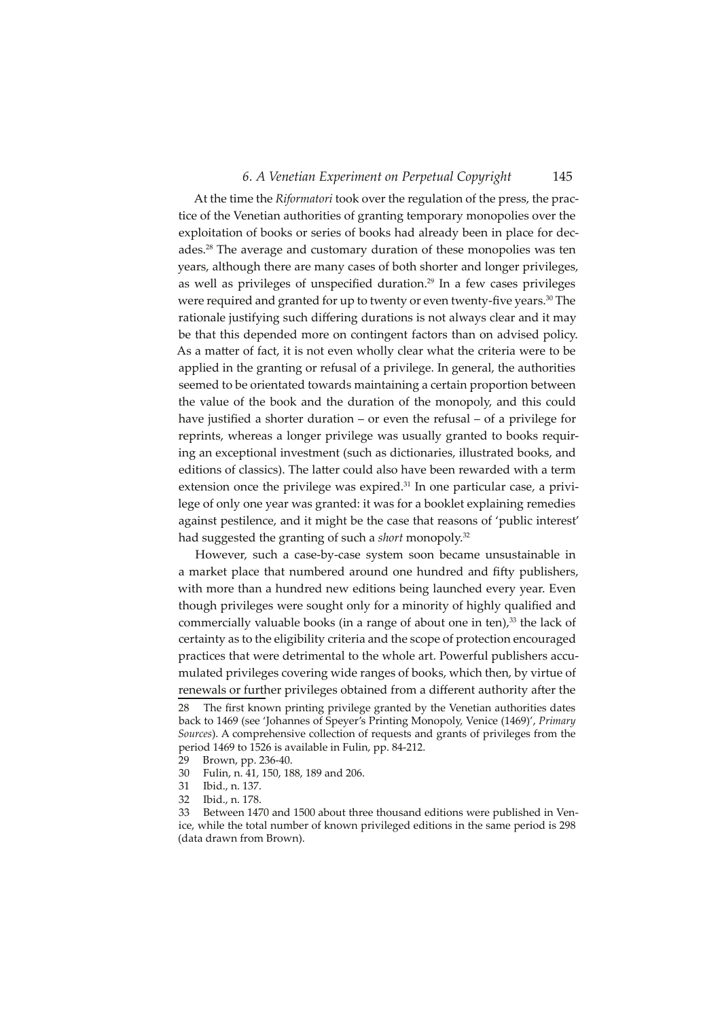At the time the *Riformatori* took over the regulation of the press, the practice of the Venetian authorities of granting temporary monopolies over the exploitation of books or series of books had already been in place for decades.<sup>28</sup> The average and customary duration of these monopolies was ten years, although there are many cases of both shorter and longer privileges, as well as privileges of unspecified duration.<sup>29</sup> In a few cases privileges were required and granted for up to twenty or even twenty-five years.<sup>30</sup> The rationale justifying such differing durations is not always clear and it may be that this depended more on contingent factors than on advised policy. As a matter of fact, it is not even wholly clear what the criteria were to be applied in the granting or refusal of a privilege. In general, the authorities seemed to be orientated towards maintaining a certain proportion between the value of the book and the duration of the monopoly, and this could have justified a shorter duration  $-$  or even the refusal  $-$  of a privilege for reprints, whereas a longer privilege was usually granted to books requiring an exceptional investment (such as dictionaries, illustrated books, and editions of classics). The latter could also have been rewarded with a term extension once the privilege was expired.<sup>31</sup> In one particular case, a privilege of only one year was granted: it was for a booklet explaining remedies against pestilence, and it might be the case that reasons of 'public interest' had suggested the granting of such a *short* monopoly.<sup>32</sup>

However, such a case-by-case system soon became unsustainable in a market place that numbered around one hundred and fifty publishers, with more than a hundred new editions being launched every year. Even though privileges were sought only for a minority of highly qualified and commercially valuable books (in a range of about one in ten), $33$  the lack of certainty as to the eligibility criteria and the scope of protection encouraged practices that were detrimental to the whole art. Powerful publishers accumulated privileges covering wide ranges of books, which then, by virtue of renewals or further privileges obtained from a different authority after the 28 The first known printing privilege granted by the Venetian authorities dates back to 1469 (see 'Johannes of Speyer's Printing Monopoly, Venice (1469)', *Primary* 

- 29 Brown, pp. 236-40.
- 30 Fulin, n. 41, 150, 188, 189 and 206.
- 31 Ibid., n. 137.
- 32 Ibid., n. 178.

33 Between 1470 and 1500 about three thousand editions were published in Venice, while the total number of known privileged editions in the same period is 298 (data drawn from Brown).

*Sources*). A comprehensive collection of requests and grants of privileges from the period 1469 to 1526 is available in Fulin, pp. 84-212.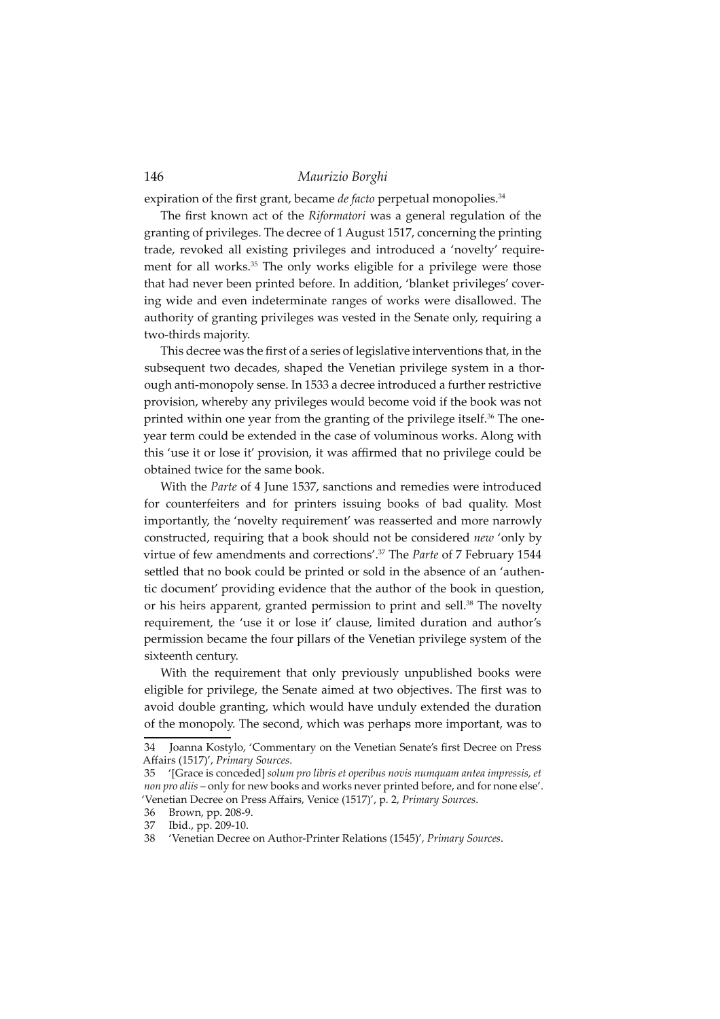expiration of the first grant, became *de facto* perpetual monopolies.<sup>34</sup>

The first known act of the Riformatori was a general regulation of the granting of privileges. The decree of 1 August 1517, concerning the printing trade, revoked all existing privileges and introduced a 'novelty' requirement for all works.<sup>35</sup> The only works eligible for a privilege were those that had never been printed before. In addition, 'blanket privileges' covering wide and even indeterminate ranges of works were disallowed. The authority of granting privileges was vested in the Senate only, requiring a two-thirds majority.

This decree was the first of a series of legislative interventions that, in the subsequent two decades, shaped the Venetian privilege system in a thor ough anti-monopoly sense. In 1533 a decree introduced a further restrictive provision, whereby any privileges would become void if the book was not printed within one year from the granting of the privilege itself.<sup>36</sup> The oneyear term could be extended in the case of voluminous works. Along with this 'use it or lose it' provision, it was affirmed that no privilege could be obtained twice for the same book.

With the Parte of 4 June 1537, sanctions and remedies were introduced for counterfeiters and for printers issuing books of bad quality. Most importantly, the 'novelty requirement' was reasserted and more narrowly constructed, requiring that a book should not be considered *new* 'only by virtue of few amendments and corrections'.<sup>37</sup> The *Parte* of 7 February 1544 settled that no book could be printed or sold in the absence of an 'authentic document' providing evidence that the author of the book in question, or his heirs apparent, granted permission to print and sell.<sup>38</sup> The novelty requirement, the 'use it or lose it' clause, limited duration and author's permission became the four pillars of the Venetian privilege system of the sixteenth century.

With the requirement that only previously unpublished books were eligible for privilege, the Senate aimed at two objectives. The first was to avoid double granting, which would have unduly extended the duration of the monopoly. The second, which was perhaps more important, was to

<sup>34</sup> Joanna Kostylo, 'Commentary on the Venetian Senate's first Decree on Press Affairs (1517)', Primary Sources.

<sup>35 &#</sup>x27;[Grace is conceded] solum pro libris et operibus novis numquam antea impressis, et *non pro aliis* – only for new books and works never printed before, and for none else'. 'Venetian Decree on Press Affairs, Venice (1517)', p. 2, Primary Sources.

<sup>36</sup> Brown, pp. 208-9.

<sup>37</sup> Ibid., pp. 209-10.

<sup>38 &#</sup>x27;Venetian Decree on Author-Printer Relations (1545)', Primary Sources.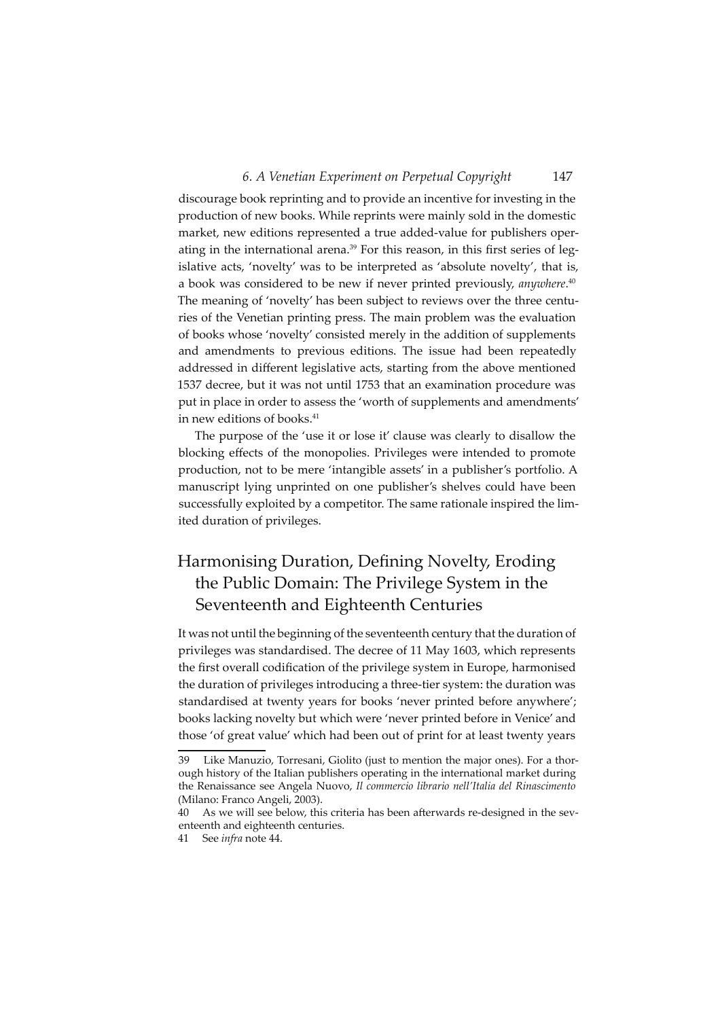discourage book reprinting and to provide an incentive for investing in the production of new books. While reprints were mainly sold in the domestic market, new editions represented a true added-value for publishers operating in the international arena.<sup>39</sup> For this reason, in this first series of legislative acts, 'novelty' was to be interpreted as 'absolute novelty', that is, a book was considered to be new if never printed previously, *anywhere*. 40 The meaning of 'novelty' has been subject to reviews over the three centuries of the Venetian printing press. The main problem was the evaluation of books whose 'novelty' consisted merely in the addition of supplements and amendments to previous editions. The issue had been repeatedly addressed in different legislative acts, starting from the above mentioned 1537 decree, but it was not until 1753 that an examination procedure was put in place in order to assess the 'worth of supplements and amendments' in new editions of books.<sup>41</sup>

The purpose of the 'use it or lose it' clause was clearly to disallow the blocking effects of the monopolies. Privileges were intended to promote production, not to be mere 'intangible assets' in a publisher's portfolio. A manuscript lying unprinted on one publisher's shelves could have been successfully exploited by a competitor. The same rationale inspired the limited duration of privileges.

## Harmonising Duration, Defining Novelty, Eroding the Public Domain: The Privilege System in the Seventeenth and Eighteenth Centuries

It was not until the beginning of the seventeenth century that the duration of privileges was standardised. The decree of 11 May 1603, which represents the first overall codification of the privilege system in Europe, harmonised the duration of privileges introducing a three-tier system: the duration was standardised at twenty years for books 'never printed before anywhere'; books lacking novelty but which were 'never printed before in Venice' and those 'of great value' which had been out of print for at least twenty years

Like Manuzio, Torresani, Giolito (just to mention the major ones). For a thorough history of the Italian publishers operating in the international market during ȱȱȱȱǰȱ*Il commercio librario nell'Italia del Rinascimento* (Milano: Franco Angeli, 2003).

<sup>40</sup> As we will see below, this criteria has been afterwards re-designed in the seventeenth and eighteenth centuries.

<sup>41</sup> See infra note 44.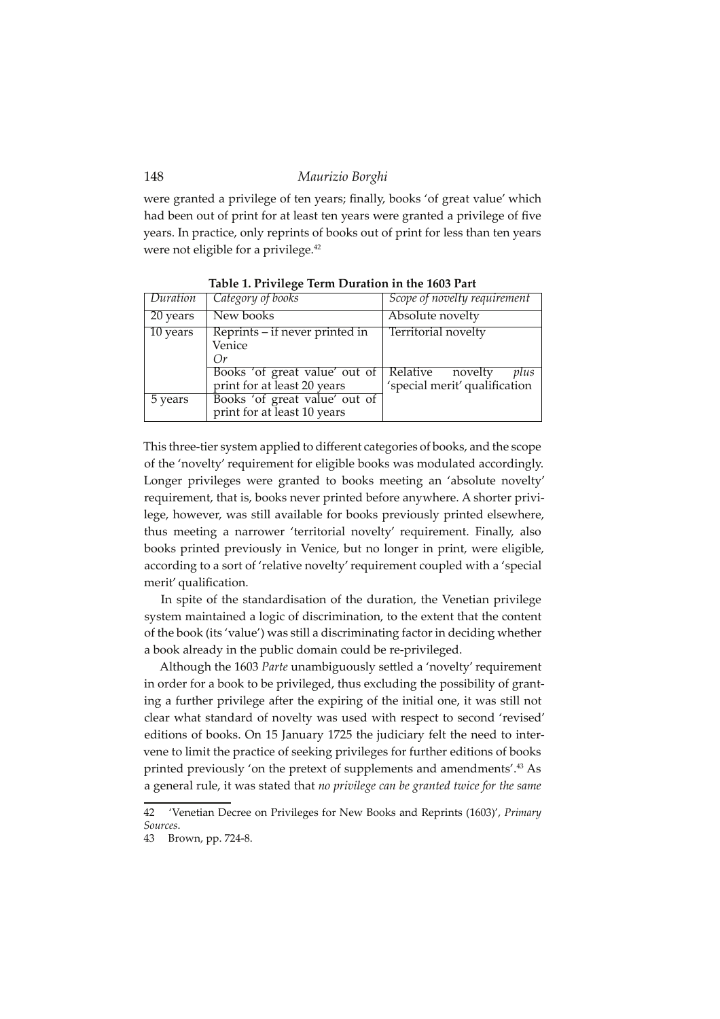were granted a privilege of ten years; finally, books 'of great value' which had been out of print for at least ten years were granted a privilege of five years. In practice, only reprints of books out of print for less than ten years were not eligible for a privilege.<sup>42</sup>

| Duration | Category of books                                                             | Scope of novelty requirement          |
|----------|-------------------------------------------------------------------------------|---------------------------------------|
| 20 years | New books                                                                     | Absolute novelty                      |
| 10 years | Reprints – if never printed in<br>Venice<br>()r                               | Territorial novelty                   |
|          | Books 'of great value' out of Relative novelty<br>print for at least 20 years | plus<br>'special merit' qualification |
| 5 years  | Books 'of great value' out of<br>print for at least 10 years                  |                                       |

**Table 1. Privilege Term Duration in the 1603 Part**

This three-tier system applied to different categories of books, and the scope of the 'novelty' requirement for eligible books was modulated accordingly. Longer privileges were granted to books meeting an 'absolute novelty' requirement, that is, books never printed before anywhere. A shorter privilege, however, was still available for books previously printed elsewhere, thus meeting a narrower 'territorial novelty' requirement. Finally, also books printed previously in Venice, but no longer in print, were eligible, according to a sort of 'relative novelty' requirement coupled with a 'special merit' qualification.

In spite of the standardisation of the duration, the Venetian privilege system maintained a logic of discrimination, to the extent that the content of the book (its 'value') was still a discriminating factor in deciding whether a book already in the public domain could be re-privileged.

Although the 1603 Parte unambiguously settled a 'novelty' requirement in order for a book to be privileged, thus excluding the possibility of grant ing a further privilege after the expiring of the initial one, it was still not clear what standard of novelty was used with respect to second 'revised' editions of books. On 15 January 1725 the judiciary felt the need to intervene to limit the practice of seeking privileges for further editions of books printed previously 'on the pretext of supplements and amendments'.<sup>43</sup> As a general rule, it was stated that *no privilege can be granted twice for the same* 

<sup>42</sup> *'Venetian Decree on Privileges for New Books and Reprints (1603)', Primary Sources*.

<sup>43</sup> Brown, pp. 724-8.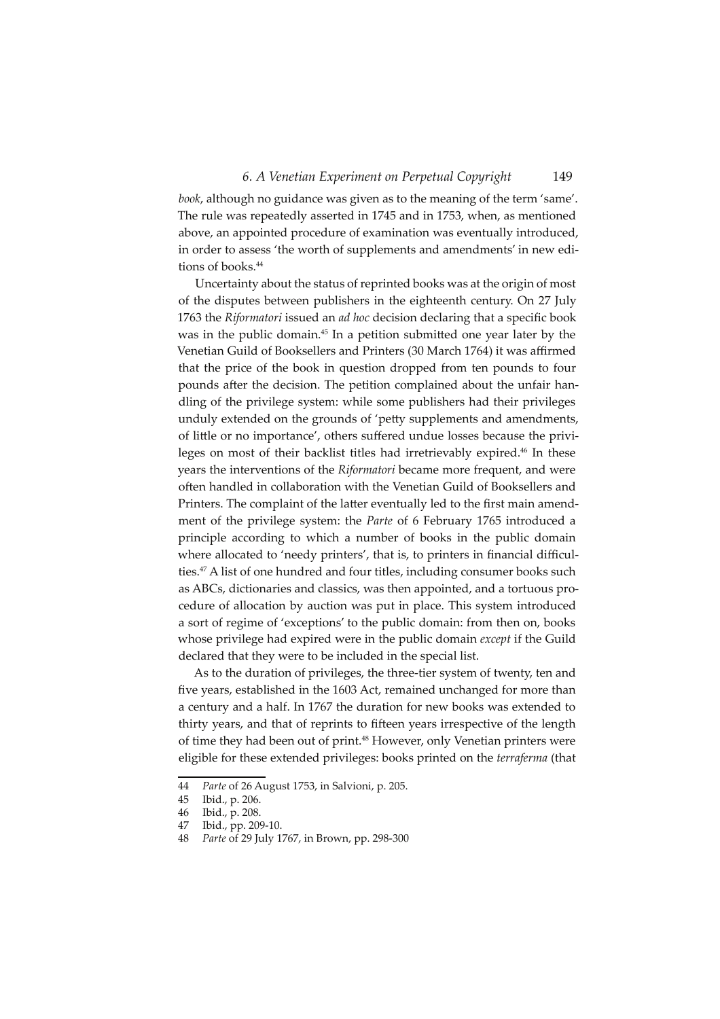*book*, although no guidance was given as to the meaning of the term 'same'. The rule was repeatedly asserted in 1745 and in 1753, when, as mentioned above, an appointed procedure of examination was eventually introduced, in order to assess 'the worth of supplements and amendments' in new editions of books.<sup>44</sup>

Uncertainty about the status of reprinted books was at the origin of most of the disputes between publishers in the eighteenth century. On 27 July 1763 the Riformatori issued an *ad hoc* decision declaring that a specific book was in the public domain.<sup>45</sup> In a petition submitted one year later by the Venetian Guild of Booksellers and Printers (30 March 1764) it was affirmed that the price of the book in question dropped from ten pounds to four pounds after the decision. The petition complained about the unfair handling of the privilege system: while some publishers had their privileges unduly extended on the grounds of 'petty supplements and amendments, of little or no importance', others suffered undue losses because the privileges on most of their backlist titles had irretrievably expired.<sup>46</sup> In these years the interventions of the *Riformatori* became more frequent, and were often handled in collaboration with the Venetian Guild of Booksellers and Printers. The complaint of the latter eventually led to the first main amendment of the privilege system: the *Parte* of 6 February 1765 introduced a principle according to which a number of books in the public domain where allocated to 'needy printers', that is, to printers in financial difficulties.<sup>47</sup> A list of one hundred and four titles, including consumer books such as ABCs, dictionaries and classics, was then appointed, and a tortuous procedure of allocation by auction was put in place. This system introduced a sort of regime of 'exceptions' to the public domain: from then on, books whose privilege had expired were in the public domain *except* if the Guild declared that they were to be included in the special list.

As to the duration of privileges, the three-tier system of twenty, ten and five years, established in the 1603 Act, remained unchanged for more than a century and a half. In 1767 the duration for new books was extended to thirty years, and that of reprints to fifteen years irrespective of the length of time they had been out of print.<sup>48</sup> However, only Venetian printers were eligible for these extended privileges: books printed on the *terraferma* (that

<sup>44</sup> Parte of 26 August 1753, in Salvioni, p. 205.

<sup>45</sup> Ibid., p. 206.

<sup>46</sup> Ibid., p. 208.

<sup>47</sup> Ibid., pp. 209-10.

<sup>48</sup> Parte of 29 July 1767, in Brown, pp. 298-300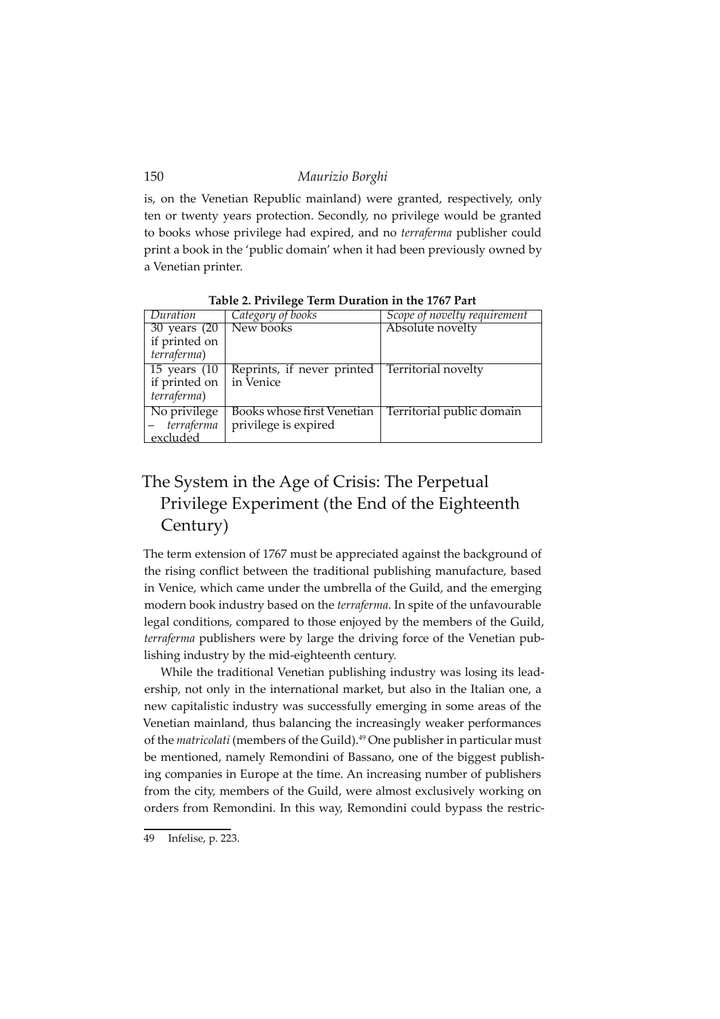is, on the Venetian Republic mainland) were granted, respectively, only ten or twenty years protection. Secondly, no privilege would be granted to books whose privilege had expired, and no *terraferma* publisher could print a book in the 'public domain' when it had been previously owned by a Venetian printer.

| $1000$ $\leq$ $111$ , $1000$ $\leq$ $101$ $\leq$ $1000$ $\leq$ $1000$ $\leq$ $1000$ |                            |                              |  |
|-------------------------------------------------------------------------------------|----------------------------|------------------------------|--|
| Duration                                                                            | Category of books          | Scope of novelty requirement |  |
| 30 years $\overline{(20)}$ New books                                                |                            | Absolute novelty             |  |
| if printed on                                                                       |                            |                              |  |
| terraferma)                                                                         |                            |                              |  |
| $15$ years $(10)$                                                                   | Reprints, if never printed | Territorial novelty          |  |
| if printed on $\vert$                                                               | in Venice                  |                              |  |
| terraferma)                                                                         |                            |                              |  |
| No privilege                                                                        | Books whose first Venetian | Territorial public domain    |  |
| terraferma                                                                          | privilege is expired       |                              |  |
| excluded                                                                            |                            |                              |  |

**Table 2. Privilege Term Duration in the 1767 Part**

## The System in the Age of Crisis: The Perpetual Privilege Experiment (the End of the Eighteenth Century)

The term extension of 1767 must be appreciated against the background of the rising conflict between the traditional publishing manufacture, based in Venice, which came under the umbrella of the Guild, and the emerging modern book industry based on the *terraferma*. In spite of the unfavourable legal conditions, compared to those enjoyed by the members of the Guild, *terraferma* publishers were by large the driving force of the Venetian publishing industry by the mid-eighteenth century.

While the traditional Venetian publishing industry was losing its leadership, not only in the international market, but also in the Italian one, a new capitalistic industry was successfully emerging in some areas of the Venetian mainland, thus balancing the increasingly weaker performances of the *matricolati* (members of the Guild).<sup>49</sup> One publisher in particular must be mentioned, namely Remondini of Bassano, one of the biggest publishing companies in Europe at the time. An increasing number of publishers from the city, members of the Guild, were almost exclusively working on orders from Remondini. In this way, Remondini could bypass the restric-

<sup>49</sup> Infelise, p. 223.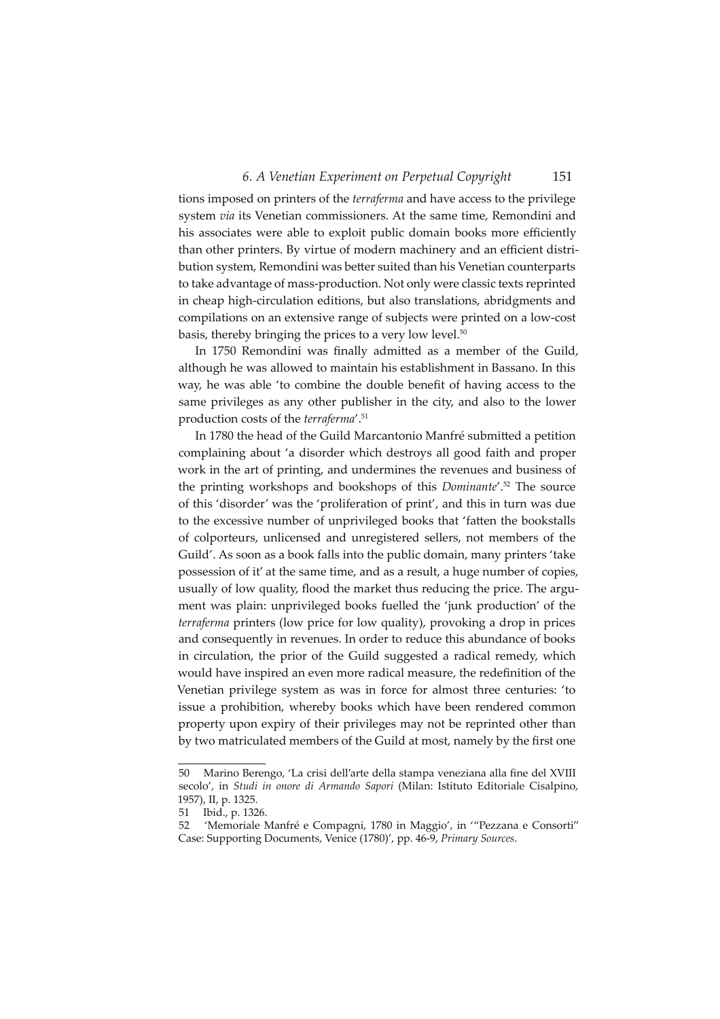tions imposed on printers of the *terraferma* and have access to the privilege system *via* its Venetian commissioners. At the same time, Remondini and his associates were able to exploit public domain books more efficiently than other printers. By virtue of modern machinery and an efficient distribution system, Remondini was better suited than his Venetian counterparts to take advantage of mass-production. Not only were classic texts reprinted in cheap high-circulation editions, but also translations, abridgments and compilations on an extensive range of subjects were printed on a low-cost basis, thereby bringing the prices to a very low level. $50$ 

In 1750 Remondini was finally admitted as a member of the Guild, although he was allowed to maintain his establishment in Bassano. In this way, he was able 'to combine the double benefit of having access to the same privileges as any other publisher in the city, and also to the lower production costs of the *terraferma'*.<sup>51</sup>

In 1780 the head of the Guild Marcantonio Manfré submitted a petition complaining about 'a disorder which destroys all good faith and proper work in the art of printing, and undermines the revenues and business of the printing workshops and bookshops of this *Dominante'*.<sup>52</sup> The source of this 'disorder' was the 'proliferation of print', and this in turn was due to the excessive number of unprivileged books that 'fatten the bookstalls of colporteurs, unlicensed and unregistered sellers, not members of the Guild'. As soon as a book falls into the public domain, many printers 'take possession of it' at the same time, and as a result, a huge number of copies, usually of low quality, flood the market thus reducing the price. The argument was plain: unprivileged books fuelled the 'junk production' of the *terraferma* printers (low price for low quality), provoking a drop in prices and consequently in revenues. In order to reduce this abundance of books in circulation, the prior of the Guild suggested a radical remedy, which would have inspired an even more radical measure, the redefinition of the Venetian privilege system as was in force for almost three centuries: 'to issue a prohibition, whereby books which have been rendered common property upon expiry of their privileges may not be reprinted other than by two matriculated members of the Guild at most, namely by the first one

<sup>50</sup> Marino Berengo, 'La crisi dell'arte della stampa veneziana alla fine del XVIII secolo', in *Studi in onore di Armando Sapori* (Milan: Istituto Editoriale Cisalpino, 1957), II, p. 1325.

<sup>51</sup> Ibid., p. 1326.

<sup>52 &#</sup>x27;Memoriale Manfré e Compagni, 1780 in Maggio', in "'Pezzana e Consorti" Case: Supporting Documents, Venice (1780)', pp. 46-9, Primary Sources.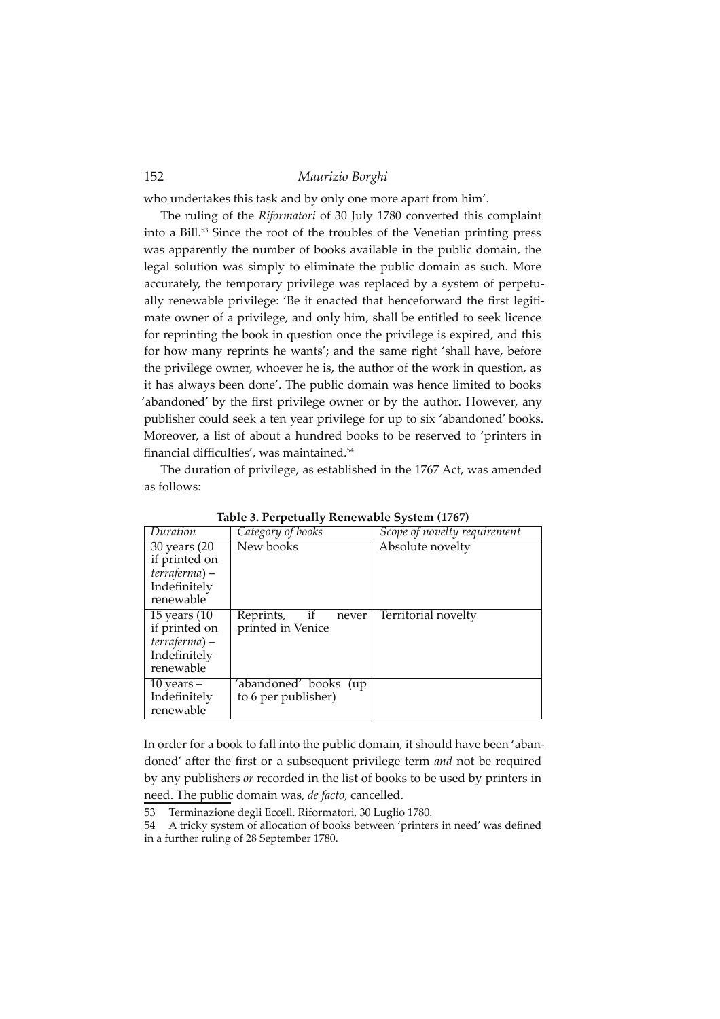who undertakes this task and by only one more apart from him'.

The ruling of the *Riformatori* of 30 July 1780 converted this complaint into a Bill.<sup>53</sup> Since the root of the troubles of the Venetian printing press was apparently the number of books available in the public domain, the legal solution was simply to eliminate the public domain as such. More accurately, the temporary privilege was replaced by a system of perpetu ally renewable privilege: 'Be it enacted that henceforward the first legitimate owner of a privilege, and only him, shall be entitled to seek licence for reprinting the book in question once the privilege is expired, and this for how many reprints he wants'; and the same right 'shall have, before the privilege owner, whoever he is, the author of the work in question, as it has always been done'. The public domain was hence limited to books 'abandoned' by the first privilege owner or by the author. However, any publisher could seek a ten year privilege for up to six 'abandoned' books. Moreover, a list of about a hundred books to be reserved to 'printers in financial difficulties', was maintained.<sup>54</sup>

The duration of privilege, as established in the 1767 Act, was amended as follows:

| Duration          | Category of books        | Scope of novelty requirement |
|-------------------|--------------------------|------------------------------|
| 30 years $(20)$   | New books                | Absolute novelty             |
| if printed on     |                          |                              |
| $terraferma$ ) –  |                          |                              |
| Indefinitely      |                          |                              |
| renewable         |                          |                              |
| $15$ years $(10)$ | Reprints,<br>if<br>never | Territorial novelty          |
| if printed on     | printed in Venice        |                              |
| $terraferma$ ) –  |                          |                              |
| Indefinitely      |                          |                              |
| renewable         |                          |                              |
| $10$ years $-$    | 'abandoned' books (up    |                              |
| Indefinitely      | to 6 per publisher)      |                              |
| renewable         |                          |                              |

**Table 3. Perpetually Renewable System (1767)**

In order for a book to fall into the public domain, it should have been 'aban doned' after the first or a subsequent privilege term *and* not be required by any publishers *or* recorded in the list of books to be used by printers in need. The public domain was, *de facto*, cancelled.

<sup>53</sup> Terminazione degli Eccell. Riformatori, 30 Luglio 1780.

<sup>54</sup> A tricky system of allocation of books between 'printers in need' was defined in a further ruling of 28 September 1780.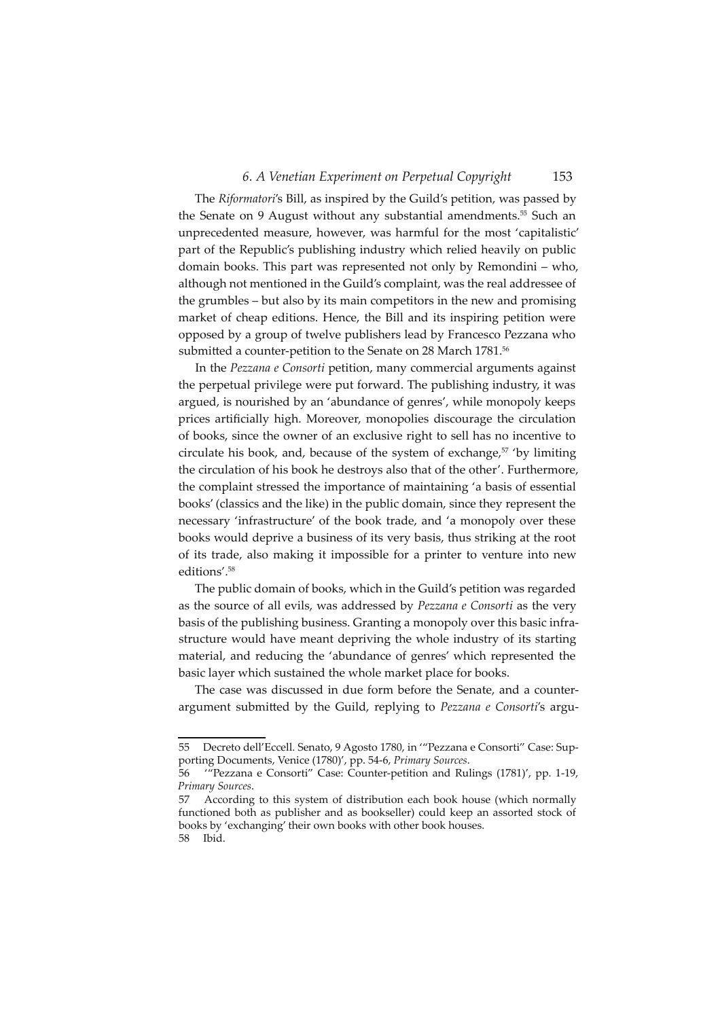The *Riformatori*'s Bill, as inspired by the Guild's petition, was passed by the Senate on 9 August without any substantial amendments.<sup>55</sup> Such an unprecedented measure, however, was harmful for the most 'capitalistic' part of the Republic's publishing industry which relied heavily on public domain books. This part was represented not only by Remondini – who, although not mentioned in the Guild's complaint, was the real addressee of the grumbles – but also by its main competitors in the new and promising market of cheap editions. Hence, the Bill and its inspiring petition were opposed by a group of twelve publishers lead by Francesco Pezzana who submitted a counter-petition to the Senate on 28 March 1781.<sup>56</sup>

In the *Pezzana e Consorti* petition, many commercial arguments against the perpetual privilege were put forward. The publishing industry, it was argued, is nourished by an 'abundance of genres', while monopoly keeps prices artificially high. Moreover, monopolies discourage the circulation of books, since the owner of an exclusive right to sell has no incentive to circulate his book, and, because of the system of exchange,<sup>57</sup> 'by limiting the circulation of his book he destroys also that of the other'. Furthermore, the complaint stressed the importance of maintaining 'a basis of essential books' (classics and the like) in the public domain, since they represent the necessary 'infrastructure' of the book trade, and 'a monopoly over these books would deprive a business of its very basis, thus striking at the root of its trade, also making it impossible for a printer to venture into new editions'.<sup>58</sup>

The public domain of books, which in the Guild's petition was regarded as the source of all evils, was addressed by *Pezzana e Consorti* as the very basis of the publishing business. Granting a monopoly over this basic infrastructure would have meant depriving the whole industry of its starting material, and reducing the 'abundance of genres' which represented the basic layer which sustained the whole market place for books.

The case was discussed in due form before the Senate, and a counter argument submitted by the Guild, replying to Pezzana e Consorti's argu-

<sup>55</sup> Decreto dell'Eccell. Senato, 9 Agosto 1780, in "'Pezzana e Consorti" Case: Supporting Documents, Venice (1780)', pp. 54-6, Primary Sources.

<sup>56 &</sup>quot;Pezzana e Consorti" Case: Counter-petition and Rulings (1781)', pp. 1-19, *Primary Sources*.

<sup>57</sup> According to this system of distribution each book house (which normally functioned both as publisher and as bookseller) could keep an assorted stock of books by 'exchanging' their own books with other book houses. 58 Ibid.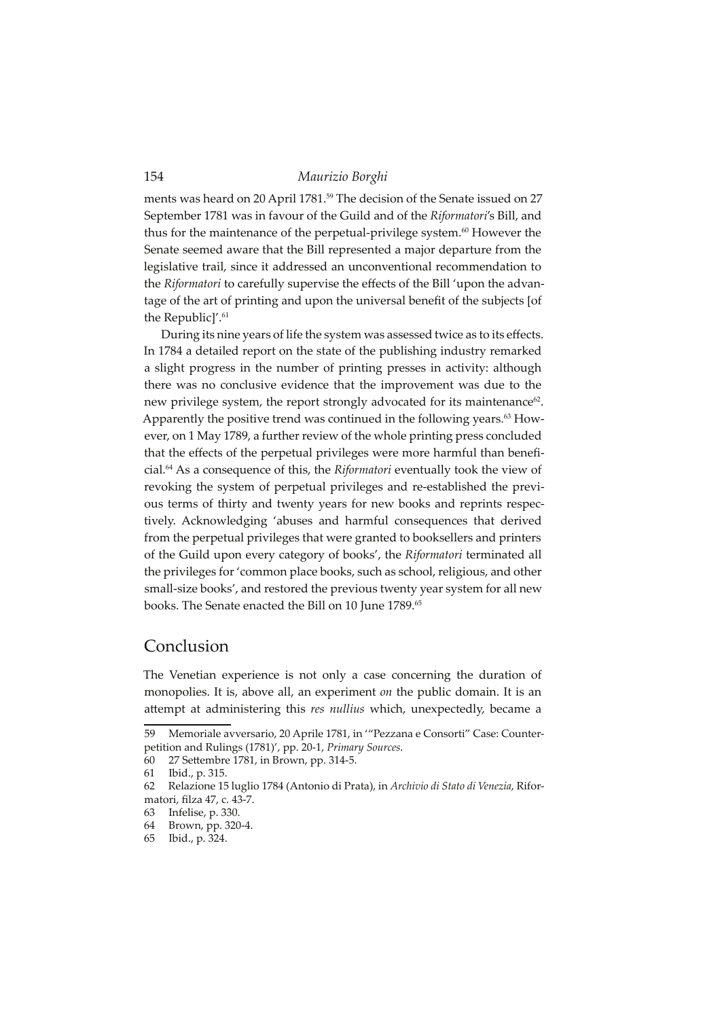ments was heard on 20 April 1781.<sup>59</sup> The decision of the Senate issued on 27 September 1781 was in favour of the Guild and of the Riformatori's Bill, and thus for the maintenance of the perpetual-privilege system. $60$  However the Senate seemed aware that the Bill represented a major departure from the legislative trail, since it addressed an unconventional recommendation to the *Riformatori* to carefully supervise the effects of the Bill 'upon the advantage of the art of printing and upon the universal benefit of the subjects [of the Republic]'.<sup>61</sup>

During its nine years of life the system was assessed twice as to its effects. In 1784 a detailed report on the state of the publishing industry remarked a slight progress in the number of printing presses in activity: although there was no conclusive evidence that the improvement was due to the new privilege system, the report strongly advocated for its maintenance $62$ . Apparently the positive trend was continued in the following years. $63$  However, on 1 May 1789, a further review of the whole printing press concluded that the effects of the perpetual privileges were more harmful than beneficial.<sup>64</sup> As a consequence of this, the *Riformatori* eventually took the view of revoking the system of perpetual privileges and re-established the previous terms of thirty and twenty years for new books and reprints respectively. Acknowledging 'abuses and harmful consequences that derived from the perpetual privileges that were granted to booksellers and printers of the Guild upon every category of books', the *Riformatori* terminated all the privileges for 'common place books, such as school, religious, and other small-size books', and restored the previous twenty year system for all new books. The Senate enacted the Bill on 10 June 1789.<sup>65</sup>

### Conclusion

The Venetian experience is not only a case concerning the duration of monopolies. It is, above all, an experiment *on* the public domain. It is an attempt at administering this res nullius which, unexpectedly, became a

<sup>59</sup> Memoriale avversario, 20 Aprile 1781, in "Pezzana e Consorti" Case: Counterpetition and Rulings (1781)', pp. 20-1, Primary Sources.

 $60$  27 Settembre 1781, in Brown, pp. 314-5.

<sup>61</sup> Ibid., p. 315.

<sup>62</sup> Relazione 15 luglio 1784 (Antonio di Prata), in Archivio di Stato di Venezia, Riformatori, filza 47, c. 43-7.

<sup>63</sup> Infelise, p. 330.

<sup>64</sup> Brown, pp. 320-4.

<sup>65</sup> Ibid., p. 324.